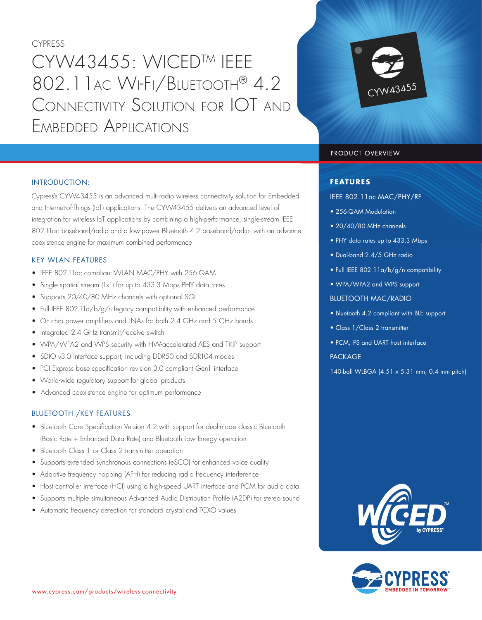CYPRESS

# CYW43455: WICEDTM IEEE 802.11AC WI-FI/BLUETOOTH® 4.2 CONNECTIVITY SOLUTION FOR IOT AND EMBEDDED APPLICATIONS



## PRODUCT OVERVIEW

## **FEATURES**

IEEE 802.11ac MAC/PHY/RF

- 256-QAM Modulation
- 20/40/80 MHz channels
- PHY data rates up to 433.3 Mbps
- Dual-band 2.4/5 GHz radio
- Full IEEE 802.11a/b/g/n compatibility
- WPA/WPA2 and WPS support

## BLUETOOTH MAC/RADIO

- Bluetooth 4.2 compliant with BLE support
- Class 1/Class 2 transmitter
- PCM, I2S and UART host interface

## **PACKAGE**

140-ball WLBGA (4.51 x 5.31 mm, 0.4 mm pitch)





## INTRODUCTION:

Cypress's CYW43455 is an advanced multi-radio wireless connectivity solution for Embedded and Internet-of-Things (IoT) applications. The CYW43455 delivers an advanced level of integration for wireless IoT applications by combining a high-performance, single-stream IEEE 802.11ac baseband/radio and a low-power Bluetooth 4.2 baseband/radio, with an advance coexistence engine for maximum combined performance

# KEY WLAN FEATURES

- IEEE 802.11ac compliant WLAN MAC/PHY with 256-QAM
- Single spatial stream (1x1) for up to 433.3 Mbps PHY data rates
- Supports 20/40/80 MHz channels with optional SGI
- Full IEEE 802.11a/b/g/n legacy compatibility with enhanced performance
- On-chip power amplifiers and LNAs for both 2.4 GHz and 5 GHz bands
- Integrated 2.4 GHz transmit/receive switch
- WPA/WPA2 and WPS security with HW-accelerated AES and TKIP support
- SDIO v3.0 interface support, including DDR50 and SDR104 modes
- PCI Express base specification revision 3.0 compliant Gen1 interface
- World-wide regulatory support for global products
- Advanced coexistence engine for optimum performance

## BLUETOOTH /KEY FEATURES

- Bluetooth Core Specification Version 4.2 with support for dual-mode classic Bluetooth (Basic Rate + Enhanced Data Rate) and Bluetooth Low Energy operation
- Bluetooth Class 1 or Class 2 transmitter operation
- Supports extended synchronous connections (eSCO) for enhanced voice quality
- Adaptive frequency hopping (AFH) for reducing radio frequency interference
- Host controller interface (HCI) using a high-speed UART interface and PCM for audio data
- Supports multiple simultaneous Advanced Audio Distribution Profile (A2DP) for stereo sound
- Automatic frequency detection for standard crystal and TCXO values